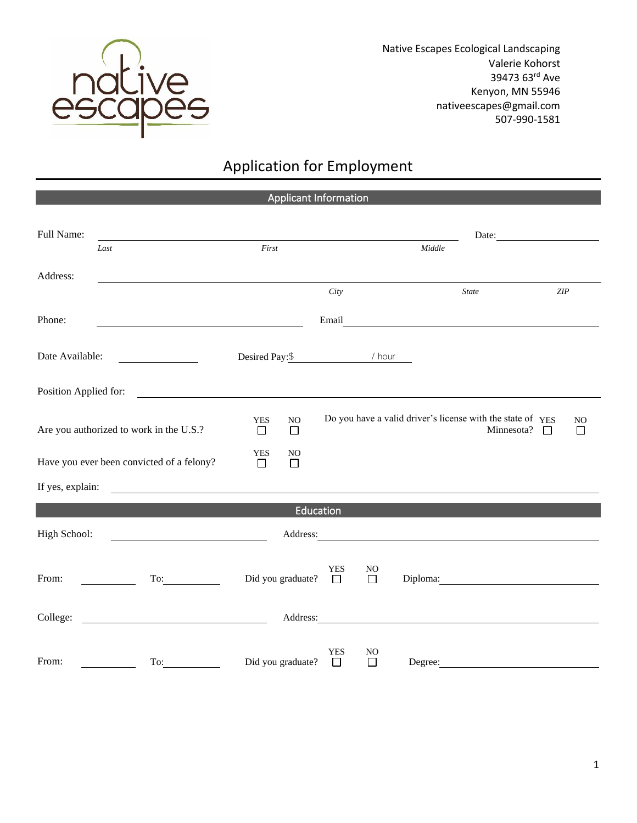

Native Escapes Ecological Landscaping Valerie Kohorst 39473 63rd Ave Kenyon, MN 55946 nativeescapes@gmail.com 507-990-1581

## Application for Employment

Applicant Information

| Full Name:                                                                             |                                                                                                                      |                      |                          |                        |                                                            |                                                                                                                                                                                                                                |                      |                     |  |
|----------------------------------------------------------------------------------------|----------------------------------------------------------------------------------------------------------------------|----------------------|--------------------------|------------------------|------------------------------------------------------------|--------------------------------------------------------------------------------------------------------------------------------------------------------------------------------------------------------------------------------|----------------------|---------------------|--|
|                                                                                        | Last                                                                                                                 | First                |                          | Middle                 |                                                            |                                                                                                                                                                                                                                |                      |                     |  |
| Address:                                                                               |                                                                                                                      |                      |                          |                        |                                                            |                                                                                                                                                                                                                                |                      |                     |  |
|                                                                                        |                                                                                                                      | City                 |                          |                        | $ZIP$<br><b>State</b>                                      |                                                                                                                                                                                                                                |                      |                     |  |
| Phone:                                                                                 |                                                                                                                      |                      |                          | Email                  |                                                            |                                                                                                                                                                                                                                |                      |                     |  |
| Date Available:<br>$\overline{\phantom{a}}$ . The contract of $\overline{\phantom{a}}$ |                                                                                                                      |                      |                          | Desired Pay: \$ / hour |                                                            |                                                                                                                                                                                                                                |                      |                     |  |
| Position Applied for:                                                                  | <u> 1980 - Jan Samuel Barbara, martin da shekara 1980 - An tsa a tsa a tsa a tsa a tsa a tsa a tsa a tsa a tsa a</u> |                      |                          |                        |                                                            |                                                                                                                                                                                                                                |                      |                     |  |
| Are you authorized to work in the U.S.?                                                | <b>YES</b><br>$\Box$                                                                                                 | NO<br>$\Box$         |                          |                        | Do you have a valid driver's license with the state of YES |                                                                                                                                                                                                                                | Minnesota?<br>$\Box$ | N <sub>O</sub><br>□ |  |
| Have you ever been convicted of a felony?                                              |                                                                                                                      | <b>YES</b><br>$\Box$ | NO<br>□                  |                        |                                                            |                                                                                                                                                                                                                                |                      |                     |  |
| If yes, explain:                                                                       |                                                                                                                      |                      |                          |                        |                                                            |                                                                                                                                                                                                                                |                      |                     |  |
|                                                                                        |                                                                                                                      |                      | Education                |                        |                                                            |                                                                                                                                                                                                                                |                      |                     |  |
| High School:                                                                           | <u> 1990 - Johann Barbara, martin a</u>                                                                              |                      |                          |                        |                                                            | Address: No. 1996. The Communication of the Communication of the Communication of the Communication of the Communication of the Communication of the Communication of the Communication of the Communication of the Communicat |                      |                     |  |
| From:                                                                                  | To:<br>$\sim$ $\sim$                                                                                                 |                      | Did you graduate? $\Box$ | <b>YES</b>             | N <sub>O</sub><br>$\Box$                                   |                                                                                                                                                                                                                                | Diploma: 2000        |                     |  |
|                                                                                        |                                                                                                                      |                      |                          |                        |                                                            |                                                                                                                                                                                                                                |                      |                     |  |
| From:                                                                                  | To:                                                                                                                  | Did you graduate?    |                          | <b>YES</b><br>$\Box$   | NO<br>П                                                    |                                                                                                                                                                                                                                | Degree:              |                     |  |